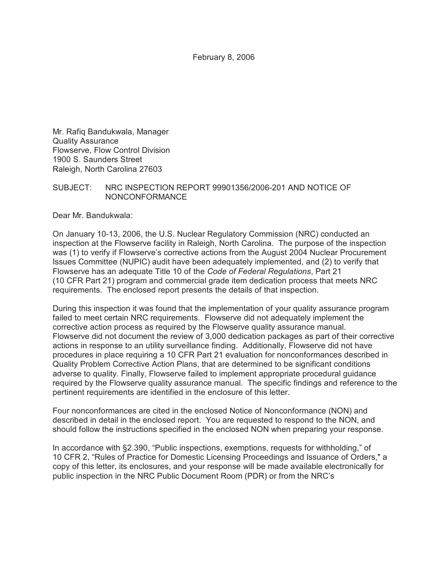Mr. Rafiq Bandukwala, Manager Quality Assurance Flowserve, Flow Control Division 1900 S. Saunders Street Raleigh, North Carolina 27603

#### SUBJECT: NRC INSPECTION REPORT 99901356/2006-201 AND NOTICE OF NONCONFORMANCE

Dear Mr. Bandukwala:

On January 10-13, 2006, the U.S. Nuclear Regulatory Commission (NRC) conducted an inspection at the Flowserve facility in Raleigh, North Carolina. The purpose of the inspection was (1) to verify if Flowserve's corrective actions from the August 2004 Nuclear Procurement Issues Committee (NUPIC) audit have been adequately implemented, and (2) to verify that Flowserve has an adequate Title 10 of the *Code of Federal Regulations*, Part 21 (10 CFR Part 21) program and commercial grade item dedication process that meets NRC requirements. The enclosed report presents the details of that inspection.

During this inspection it was found that the implementation of your quality assurance program failed to meet certain NRC requirements. Flowserve did not adequately implement the corrective action process as required by the Flowserve quality assurance manual. Flowserve did not document the review of 3,000 dedication packages as part of their corrective actions in response to an utility surveillance finding. Additionally, Flowserve did not have procedures in place requiring a 10 CFR Part 21 evaluation for nonconformances described in Quality Problem Corrective Action Plans, that are determined to be significant conditions adverse to quality. Finally, Flowserve failed to implement appropriate procedural guidance required by the Flowserve quality assurance manual. The specific findings and reference to the pertinent requirements are identified in the enclosure of this letter.

Four nonconformances are cited in the enclosed Notice of Nonconformance (NON) and described in detail in the enclosed report. You are requested to respond to the NON, and should follow the instructions specified in the enclosed NON when preparing your response.

In accordance with §2.390, "Public inspections, exemptions, requests for withholding," of 10 CFR 2, "Rules of Practice for Domestic Licensing Proceedings and Issuance of Orders," a copy of this letter, its enclosures, and your response will be made available electronically for public inspection in the NRC Public Document Room (PDR) or from the NRC's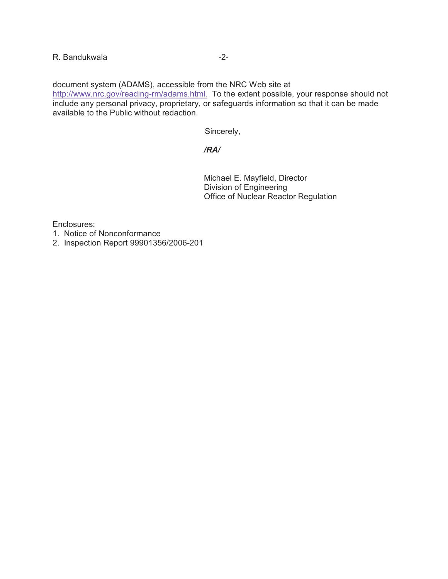document system (ADAMS), accessible from the NRC Web site at http://www.nrc.gov/reading-rm/adams.html. To the extent possible, your response should not include any personal privacy, proprietary, or safeguards information so that it can be made available to the Public without redaction.

Sincerely,

# */RA/*

Michael E. Mayfield, Director Division of Engineering Office of Nuclear Reactor Regulation

Enclosures:

- 1. Notice of Nonconformance
- 2. Inspection Report 99901356/2006-201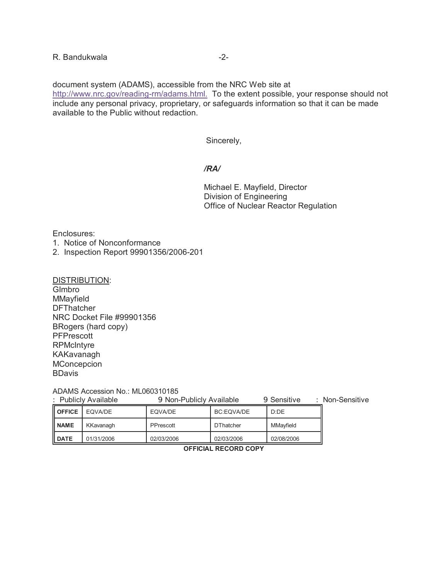document system (ADAMS), accessible from the NRC Web site at http://www.nrc.gov/reading-rm/adams.html. To the extent possible, your response should not include any personal privacy, proprietary, or safeguards information so that it can be made available to the Public without redaction.

Sincerely,

#### */RA/*

Michael E. Mayfield, Director Division of Engineering Office of Nuclear Reactor Regulation

Enclosures:

- 1. Notice of Nonconformance
- 2. Inspection Report 99901356/2006-201

DISTRIBUTION:

GImbro MMayfield **DFThatcher** NRC Docket File #99901356 BRogers (hard copy) **PFPrescott RPMcIntyre** KAKavanagh **MConcepcion BDavis** 

ADAMS Accession No.: ML060310185

| : Publicly Available |            | 9 Non-Publicly Available |                   | 9 Sensitive | Non-Sensitive |
|----------------------|------------|--------------------------|-------------------|-------------|---------------|
| <b>OFFICE</b>        | EQVA/DE    | EQVA/DE                  | <b>BC:EQVA/DE</b> | D:DE        |               |
| <b>II NAME</b>       | KKavanagh  | PPrescott                | <b>DThatcher</b>  | MMavfield   |               |
| <b>II DATE</b>       | 01/31/2006 | 02/03/2006               | 02/03/2006        | 02/08/2006  |               |

**OFFICIAL RECORD COPY**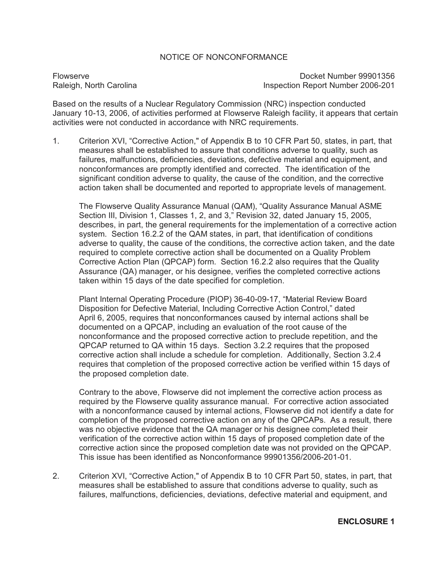### NOTICE OF NONCONFORMANCE

Flowserve Docket Number 99901356 Raleigh, North Carolina **Inspection Report Number 2006-201** 

Based on the results of a Nuclear Regulatory Commission (NRC) inspection conducted January 10-13, 2006, of activities performed at Flowserve Raleigh facility, it appears that certain activities were not conducted in accordance with NRC requirements.

1. Criterion XVI, "Corrective Action," of Appendix B to 10 CFR Part 50, states, in part, that measures shall be established to assure that conditions adverse to quality, such as failures, malfunctions, deficiencies, deviations, defective material and equipment, and nonconformances are promptly identified and corrected. The identification of the significant condition adverse to quality, the cause of the condition, and the corrective action taken shall be documented and reported to appropriate levels of management.

The Flowserve Quality Assurance Manual (QAM), "Quality Assurance Manual ASME Section III, Division 1, Classes 1, 2, and 3," Revision 32, dated January 15, 2005, describes, in part, the general requirements for the implementation of a corrective action system. Section 16.2.2 of the QAM states, in part, that identification of conditions adverse to quality, the cause of the conditions, the corrective action taken, and the date required to complete corrective action shall be documented on a Quality Problem Corrective Action Plan (QPCAP) form. Section 16.2.2 also requires that the Quality Assurance (QA) manager, or his designee, verifies the completed corrective actions taken within 15 days of the date specified for completion.

Plant Internal Operating Procedure (PIOP) 36-40-09-17, "Material Review Board Disposition for Defective Material, Including Corrective Action Control," dated April 6, 2005, requires that nonconformances caused by internal actions shall be documented on a QPCAP, including an evaluation of the root cause of the nonconformance and the proposed corrective action to preclude repetition, and the QPCAP returned to QA within 15 days. Section 3.2.2 requires that the proposed corrective action shall include a schedule for completion. Additionally, Section 3.2.4 requires that completion of the proposed corrective action be verified within 15 days of the proposed completion date.

Contrary to the above, Flowserve did not implement the corrective action process as required by the Flowserve quality assurance manual. For corrective action associated with a nonconformance caused by internal actions, Flowserve did not identify a date for completion of the proposed corrective action on any of the QPCAPs. As a result, there was no objective evidence that the QA manager or his designee completed their verification of the corrective action within 15 days of proposed completion date of the corrective action since the proposed completion date was not provided on the QPCAP. This issue has been identified as Nonconformance 99901356/2006-201-01.

2. Criterion XVI, "Corrective Action," of Appendix B to 10 CFR Part 50, states, in part, that measures shall be established to assure that conditions adverse to quality, such as failures, malfunctions, deficiencies, deviations, defective material and equipment, and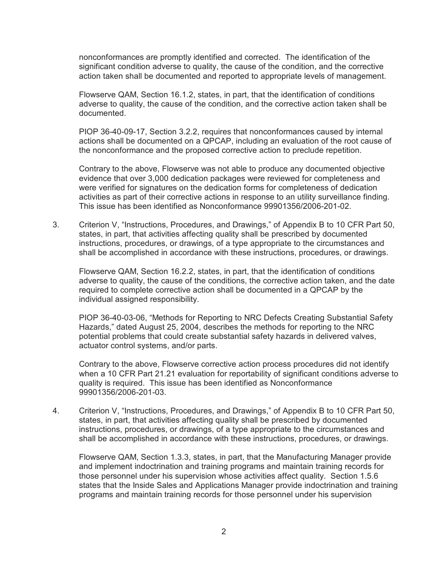nonconformances are promptly identified and corrected. The identification of the significant condition adverse to quality, the cause of the condition, and the corrective action taken shall be documented and reported to appropriate levels of management.

Flowserve QAM, Section 16.1.2, states, in part, that the identification of conditions adverse to quality, the cause of the condition, and the corrective action taken shall be documented.

PIOP 36-40-09-17, Section 3.2.2, requires that nonconformances caused by internal actions shall be documented on a QPCAP, including an evaluation of the root cause of the nonconformance and the proposed corrective action to preclude repetition.

Contrary to the above, Flowserve was not able to produce any documented objective evidence that over 3,000 dedication packages were reviewed for completeness and were verified for signatures on the dedication forms for completeness of dedication activities as part of their corrective actions in response to an utility surveillance finding. This issue has been identified as Nonconformance 99901356/2006-201-02.

3. Criterion V, "Instructions, Procedures, and Drawings," of Appendix B to 10 CFR Part 50, states, in part, that activities affecting quality shall be prescribed by documented instructions, procedures, or drawings, of a type appropriate to the circumstances and shall be accomplished in accordance with these instructions, procedures, or drawings.

Flowserve QAM, Section 16.2.2, states, in part, that the identification of conditions adverse to quality, the cause of the conditions, the corrective action taken, and the date required to complete corrective action shall be documented in a QPCAP by the individual assigned responsibility.

PIOP 36-40-03-06, "Methods for Reporting to NRC Defects Creating Substantial Safety Hazards," dated August 25, 2004, describes the methods for reporting to the NRC potential problems that could create substantial safety hazards in delivered valves, actuator control systems, and/or parts.

Contrary to the above, Flowserve corrective action process procedures did not identify when a 10 CFR Part 21.21 evaluation for reportability of significant conditions adverse to quality is required. This issue has been identified as Nonconformance 99901356/2006-201-03.

4. Criterion V, "Instructions, Procedures, and Drawings," of Appendix B to 10 CFR Part 50, states, in part, that activities affecting quality shall be prescribed by documented instructions, procedures, or drawings, of a type appropriate to the circumstances and shall be accomplished in accordance with these instructions, procedures, or drawings.

Flowserve QAM, Section 1.3.3, states, in part, that the Manufacturing Manager provide and implement indoctrination and training programs and maintain training records for those personnel under his supervision whose activities affect quality. Section 1.5.6 states that the Inside Sales and Applications Manager provide indoctrination and training programs and maintain training records for those personnel under his supervision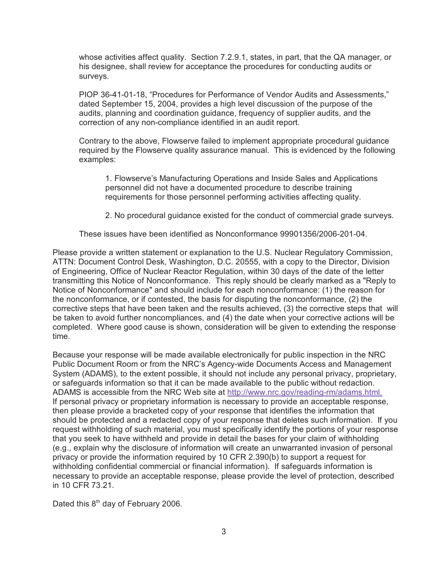whose activities affect quality. Section 7.2.9.1, states, in part, that the QA manager, or his designee, shall review for acceptance the procedures for conducting audits or surveys.

PIOP 36-41-01-18, "Procedures for Performance of Vendor Audits and Assessments," dated September 15, 2004, provides a high level discussion of the purpose of the audits, planning and coordination guidance, frequency of supplier audits, and the correction of any non-compliance identified in an audit report.

Contrary to the above, Flowserve failed to implement appropriate procedural guidance required by the Flowserve quality assurance manual. This is evidenced by the following examples:

1. Flowserve's Manufacturing Operations and Inside Sales and Applications personnel did not have a documented procedure to describe training requirements for those personnel performing activities affecting quality.

2. No procedural guidance existed for the conduct of commercial grade surveys.

These issues have been identified as Nonconformance 99901356/2006-201-04.

Please provide a written statement or explanation to the U.S. Nuclear Regulatory Commission, ATTN: Document Control Desk, Washington, D.C. 20555, with a copy to the Director, Division of Engineering, Office of Nuclear Reactor Regulation, within 30 days of the date of the letter transmitting this Notice of Nonconformance. This reply should be clearly marked as a "Reply to Notice of Nonconformance" and should include for each nonconformance: (1) the reason for the nonconformance, or if contested, the basis for disputing the nonconformance, (2) the corrective steps that have been taken and the results achieved, (3) the corrective steps that will be taken to avoid further noncompliances, and (4) the date when your corrective actions will be completed. Where good cause is shown, consideration will be given to extending the response time.

Because your response will be made available electronically for public inspection in the NRC Public Document Room or from the NRC's Agency-wide Documents Access and Management System (ADAMS), to the extent possible, it should not include any personal privacy, proprietary, or safeguards information so that it can be made available to the public without redaction. ADAMS is accessible from the NRC Web site at http://www.nrc.gov/reading-rm/adams.html. If personal privacy or proprietary information is necessary to provide an acceptable response, then please provide a bracketed copy of your response that identifies the information that should be protected and a redacted copy of your response that deletes such information. If you request withholding of such material, you must specifically identify the portions of your response that you seek to have withheld and provide in detail the bases for your claim of withholding (e.g., explain why the disclosure of information will create an unwarranted invasion of personal privacy or provide the information required by 10 CFR 2.390(b) to support a request for withholding confidential commercial or financial information). If safeguards information is necessary to provide an acceptable response, please provide the level of protection, described in 10 CFR 73.21.

Dated this  $8<sup>th</sup>$  day of February 2006.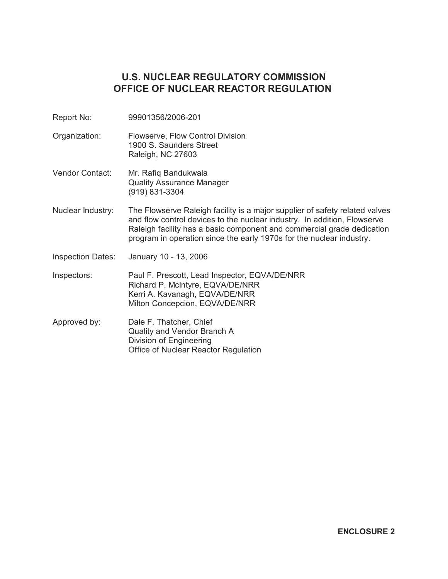# **U.S. NUCLEAR REGULATORY COMMISSION OFFICE OF NUCLEAR REACTOR REGULATION**

- Report No: 99901356/2006-201
- Organization: Flowserve, Flow Control Division 1900 S. Saunders Street Raleigh, NC 27603
- Vendor Contact: Mr. Rafiq Bandukwala Quality Assurance Manager (919) 831-3304
- Nuclear Industry: The Flowserve Raleigh facility is a major supplier of safety related valves and flow control devices to the nuclear industry. In addition, Flowserve Raleigh facility has a basic component and commercial grade dedication program in operation since the early 1970s for the nuclear industry.
- Inspection Dates: January 10 13, 2006

Inspectors: Paul F. Prescott, Lead Inspector, EQVA/DE/NRR Richard P. McIntyre, EQVA/DE/NRR Kerri A. Kavanagh, EQVA/DE/NRR Milton Concepcion, EQVA/DE/NRR

Approved by: Dale F. Thatcher, Chief Quality and Vendor Branch A Division of Engineering Office of Nuclear Reactor Regulation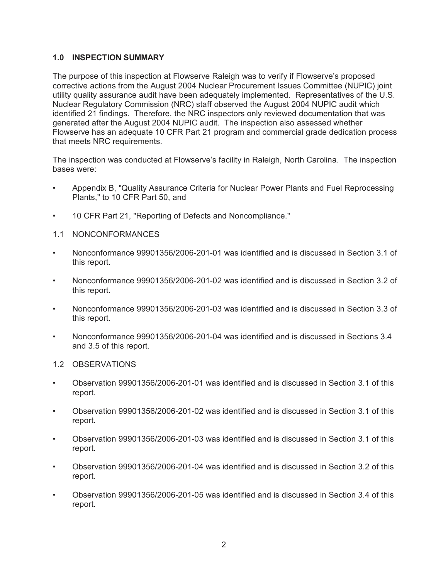### **1.0 INSPECTION SUMMARY**

The purpose of this inspection at Flowserve Raleigh was to verify if Flowserve's proposed corrective actions from the August 2004 Nuclear Procurement Issues Committee (NUPIC) joint utility quality assurance audit have been adequately implemented. Representatives of the U.S. Nuclear Regulatory Commission (NRC) staff observed the August 2004 NUPIC audit which identified 21 findings. Therefore, the NRC inspectors only reviewed documentation that was generated after the August 2004 NUPIC audit. The inspection also assessed whether Flowserve has an adequate 10 CFR Part 21 program and commercial grade dedication process that meets NRC requirements.

The inspection was conducted at Flowserve's facility in Raleigh, North Carolina. The inspection bases were:

- Appendix B, "Quality Assurance Criteria for Nuclear Power Plants and Fuel Reprocessing Plants," to 10 CFR Part 50, and
- 10 CFR Part 21, "Reporting of Defects and Noncompliance."
- 1.1 NONCONFORMANCES
- Nonconformance 99901356/2006-201-01 was identified and is discussed in Section 3.1 of this report.
- Nonconformance 99901356/2006-201-02 was identified and is discussed in Section 3.2 of this report.
- Nonconformance 99901356/2006-201-03 was identified and is discussed in Section 3.3 of this report.
- Nonconformance 99901356/2006-201-04 was identified and is discussed in Sections 3.4 and 3.5 of this report.
- 1.2 OBSERVATIONS
- Observation 99901356/2006-201-01 was identified and is discussed in Section 3.1 of this report.
- Observation 99901356/2006-201-02 was identified and is discussed in Section 3.1 of this report.
- Observation 99901356/2006-201-03 was identified and is discussed in Section 3.1 of this report.
- Observation 99901356/2006-201-04 was identified and is discussed in Section 3.2 of this report.
- Observation 99901356/2006-201-05 was identified and is discussed in Section 3.4 of this report.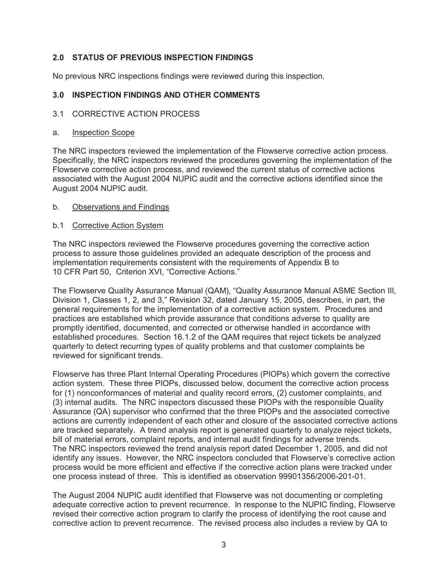# **2.0 STATUS OF PREVIOUS INSPECTION FINDINGS**

No previous NRC inspections findings were reviewed during this inspection.

# **3.0 INSPECTION FINDINGS AND OTHER COMMENTS**

# 3.1 CORRECTIVE ACTION PROCESS

### a. Inspection Scope

The NRC inspectors reviewed the implementation of the Flowserve corrective action process. Specifically, the NRC inspectors reviewed the procedures governing the implementation of the Flowserve corrective action process, and reviewed the current status of corrective actions associated with the August 2004 NUPIC audit and the corrective actions identified since the August 2004 NUPIC audit.

### b. Observations and Findings

# b.1 Corrective Action System

The NRC inspectors reviewed the Flowserve procedures governing the corrective action process to assure those guidelines provided an adequate description of the process and implementation requirements consistent with the requirements of Appendix B to 10 CFR Part 50, Criterion XVI, "Corrective Actions."

The Flowserve Quality Assurance Manual (QAM), "Quality Assurance Manual ASME Section III, Division 1, Classes 1, 2, and 3," Revision 32, dated January 15, 2005, describes, in part, the general requirements for the implementation of a corrective action system. Procedures and practices are established which provide assurance that conditions adverse to quality are promptly identified, documented, and corrected or otherwise handled in accordance with established procedures. Section 16.1.2 of the QAM requires that reject tickets be analyzed quarterly to detect recurring types of quality problems and that customer complaints be reviewed for significant trends.

Flowserve has three Plant Internal Operating Procedures (PIOPs) which govern the corrective action system. These three PIOPs, discussed below, document the corrective action process for (1) nonconformances of material and quality record errors, (2) customer complaints, and (3) internal audits. The NRC inspectors discussed these PIOPs with the responsible Quality Assurance (QA) supervisor who confirmed that the three PIOPs and the associated corrective actions are currently independent of each other and closure of the associated corrective actions are tracked separately. A trend analysis report is generated quarterly to analyze reject tickets, bill of material errors, complaint reports, and internal audit findings for adverse trends. The NRC inspectors reviewed the trend analysis report dated December 1, 2005, and did not identify any issues. However, the NRC inspectors concluded that Flowserve's corrective action process would be more efficient and effective if the corrective action plans were tracked under one process instead of three. This is identified as observation 99901356/2006-201-01.

The August 2004 NUPIC audit identified that Flowserve was not documenting or completing adequate corrective action to prevent recurrence. In response to the NUPIC finding, Flowserve revised their corrective action program to clarify the process of identifying the root cause and corrective action to prevent recurrence. The revised process also includes a review by QA to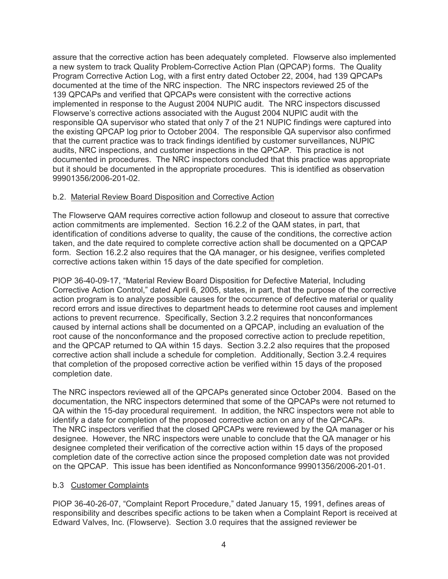assure that the corrective action has been adequately completed. Flowserve also implemented a new system to track Quality Problem-Corrective Action Plan (QPCAP) forms. The Quality Program Corrective Action Log, with a first entry dated October 22, 2004, had 139 QPCAPs documented at the time of the NRC inspection. The NRC inspectors reviewed 25 of the 139 QPCAPs and verified that QPCAPs were consistent with the corrective actions implemented in response to the August 2004 NUPIC audit. The NRC inspectors discussed Flowserve's corrective actions associated with the August 2004 NUPIC audit with the responsible QA supervisor who stated that only 7 of the 21 NUPIC findings were captured into the existing QPCAP log prior to October 2004. The responsible QA supervisor also confirmed that the current practice was to track findings identified by customer surveillances, NUPIC audits, NRC inspections, and customer inspections in the QPCAP. This practice is not documented in procedures. The NRC inspectors concluded that this practice was appropriate but it should be documented in the appropriate procedures. This is identified as observation 99901356/2006-201-02.

# b.2. Material Review Board Disposition and Corrective Action

The Flowserve QAM requires corrective action followup and closeout to assure that corrective action commitments are implemented. Section 16.2.2 of the QAM states, in part, that identification of conditions adverse to quality, the cause of the conditions, the corrective action taken, and the date required to complete corrective action shall be documented on a QPCAP form. Section 16.2.2 also requires that the QA manager, or his designee, verifies completed corrective actions taken within 15 days of the date specified for completion.

PIOP 36-40-09-17, "Material Review Board Disposition for Defective Material, Including Corrective Action Control," dated April 6, 2005, states, in part, that the purpose of the corrective action program is to analyze possible causes for the occurrence of defective material or quality record errors and issue directives to department heads to determine root causes and implement actions to prevent recurrence. Specifically, Section 3.2.2 requires that nonconformances caused by internal actions shall be documented on a QPCAP, including an evaluation of the root cause of the nonconformance and the proposed corrective action to preclude repetition, and the QPCAP returned to QA within 15 days. Section 3.2.2 also requires that the proposed corrective action shall include a schedule for completion. Additionally, Section 3.2.4 requires that completion of the proposed corrective action be verified within 15 days of the proposed completion date.

The NRC inspectors reviewed all of the QPCAPs generated since October 2004. Based on the documentation, the NRC inspectors determined that some of the QPCAPs were not returned to QA within the 15-day procedural requirement. In addition, the NRC inspectors were not able to identify a date for completion of the proposed corrective action on any of the QPCAPs. The NRC inspectors verified that the closed QPCAPs were reviewed by the QA manager or his designee. However, the NRC inspectors were unable to conclude that the QA manager or his designee completed their verification of the corrective action within 15 days of the proposed completion date of the corrective action since the proposed completion date was not provided on the QPCAP. This issue has been identified as Nonconformance 99901356/2006-201-01.

### b.3 Customer Complaints

PIOP 36-40-26-07, "Complaint Report Procedure," dated January 15, 1991, defines areas of responsibility and describes specific actions to be taken when a Complaint Report is received at Edward Valves, Inc. (Flowserve). Section 3.0 requires that the assigned reviewer be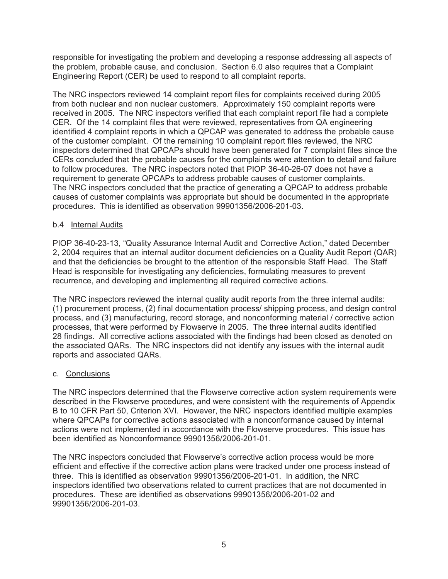responsible for investigating the problem and developing a response addressing all aspects of the problem, probable cause, and conclusion. Section 6.0 also requires that a Complaint Engineering Report (CER) be used to respond to all complaint reports.

The NRC inspectors reviewed 14 complaint report files for complaints received during 2005 from both nuclear and non nuclear customers. Approximately 150 complaint reports were received in 2005. The NRC inspectors verified that each complaint report file had a complete CER. Of the 14 complaint files that were reviewed, representatives from QA engineering identified 4 complaint reports in which a QPCAP was generated to address the probable cause of the customer complaint. Of the remaining 10 complaint report files reviewed, the NRC inspectors determined that QPCAPs should have been generated for 7 complaint files since the CERs concluded that the probable causes for the complaints were attention to detail and failure to follow procedures. The NRC inspectors noted that PIOP 36-40-26-07 does not have a requirement to generate QPCAPs to address probable causes of customer complaints. The NRC inspectors concluded that the practice of generating a QPCAP to address probable causes of customer complaints was appropriate but should be documented in the appropriate procedures. This is identified as observation 99901356/2006-201-03.

### b.4 Internal Audits

PIOP 36-40-23-13, "Quality Assurance Internal Audit and Corrective Action," dated December 2, 2004 requires that an internal auditor document deficiencies on a Quality Audit Report (QAR) and that the deficiencies be brought to the attention of the responsible Staff Head. The Staff Head is responsible for investigating any deficiencies, formulating measures to prevent recurrence, and developing and implementing all required corrective actions.

The NRC inspectors reviewed the internal quality audit reports from the three internal audits: (1) procurement process, (2) final documentation process/ shipping process, and design control process, and (3) manufacturing, record storage, and nonconforming material / corrective action processes, that were performed by Flowserve in 2005. The three internal audits identified 28 findings. All corrective actions associated with the findings had been closed as denoted on the associated QARs. The NRC inspectors did not identify any issues with the internal audit reports and associated QARs.

### c. Conclusions

The NRC inspectors determined that the Flowserve corrective action system requirements were described in the Flowserve procedures, and were consistent with the requirements of Appendix B to 10 CFR Part 50, Criterion XVI. However, the NRC inspectors identified multiple examples where QPCAPs for corrective actions associated with a nonconformance caused by internal actions were not implemented in accordance with the Flowserve procedures. This issue has been identified as Nonconformance 99901356/2006-201-01.

The NRC inspectors concluded that Flowserve's corrective action process would be more efficient and effective if the corrective action plans were tracked under one process instead of three. This is identified as observation 99901356/2006-201-01. In addition, the NRC inspectors identified two observations related to current practices that are not documented in procedures. These are identified as observations 99901356/2006-201-02 and 99901356/2006-201-03.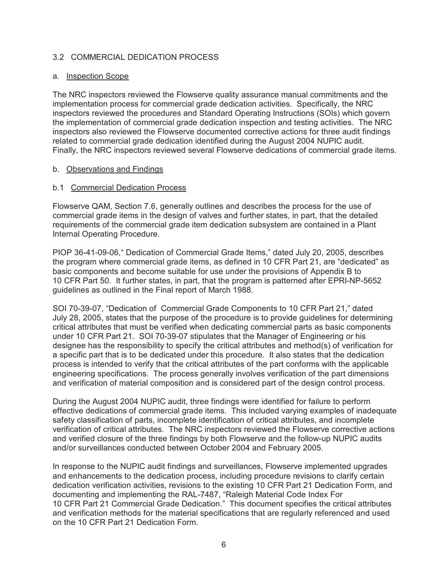### 3.2 COMMERCIAL DEDICATION PROCESS

#### a. Inspection Scope

The NRC inspectors reviewed the Flowserve quality assurance manual commitments and the implementation process for commercial grade dedication activities. Specifically, the NRC inspectors reviewed the procedures and Standard Operating Instructions (SOIs) which govern the implementation of commercial grade dedication inspection and testing activities. The NRC inspectors also reviewed the Flowserve documented corrective actions for three audit findings related to commercial grade dedication identified during the August 2004 NUPIC audit. Finally, the NRC inspectors reviewed several Flowserve dedications of commercial grade items.

#### b. Observations and Findings

#### b.1 Commercial Dedication Process

Flowserve QAM, Section 7.6, generally outlines and describes the process for the use of commercial grade items in the design of valves and further states, in part, that the detailed requirements of the commercial grade item dedication subsystem are contained in a Plant Internal Operating Procedure.

PIOP 36-41-09-06," Dedication of Commercial Grade Items," dated July 20, 2005, describes the program where commercial grade items, as defined in 10 CFR Part 21, are "dedicated" as basic components and become suitable for use under the provisions of Appendix B to 10 CFR Part 50. It further states, in part, that the program is patterned after EPRI-NP-5652 guidelines as outlined in the Final report of March 1988.

SOI 70-39-07, "Dedication of Commercial Grade Components to 10 CFR Part 21," dated July 28, 2005, states that the purpose of the procedure is to provide guidelines for determining critical attributes that must be verified when dedicating commercial parts as basic components under 10 CFR Part 21. SOI 70-39-07 stipulates that the Manager of Engineering or his designee has the responsibility to specify the critical attributes and method(s) of verification for a specific part that is to be dedicated under this procedure. It also states that the dedication process is intended to verify that the critical attributes of the part conforms with the applicable engineering specifications. The process generally involves verification of the part dimensions and verification of material composition and is considered part of the design control process.

During the August 2004 NUPIC audit, three findings were identified for failure to perform effective dedications of commercial grade items. This included varying examples of inadequate safety classification of parts, incomplete identification of critical attributes, and incomplete verification of critical attributes. The NRC inspectors reviewed the Flowserve corrective actions and verified closure of the three findings by both Flowserve and the follow-up NUPIC audits and/or surveillances conducted between October 2004 and February 2005.

In response to the NUPIC audit findings and surveillances, Flowserve implemented upgrades and enhancements to the dedication process, including procedure revisions to clarify certain dedication verification activities, revisions to the existing 10 CFR Part 21 Dedication Form, and documenting and implementing the RAL-7487, "Raleigh Material Code Index For 10 CFR Part 21 Commercial Grade Dedication." This document specifies the critical attributes and verification methods for the material specifications that are regularly referenced and used on the 10 CFR Part 21 Dedication Form.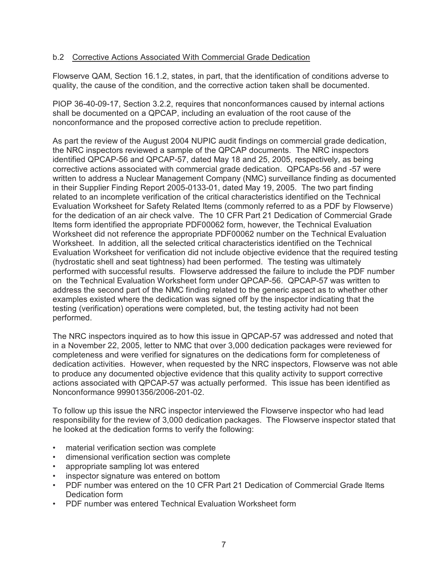### b.2 Corrective Actions Associated With Commercial Grade Dedication

Flowserve QAM, Section 16.1.2, states, in part, that the identification of conditions adverse to quality, the cause of the condition, and the corrective action taken shall be documented.

PIOP 36-40-09-17, Section 3.2.2, requires that nonconformances caused by internal actions shall be documented on a QPCAP, including an evaluation of the root cause of the nonconformance and the proposed corrective action to preclude repetition.

As part the review of the August 2004 NUPIC audit findings on commercial grade dedication, the NRC inspectors reviewed a sample of the QPCAP documents. The NRC inspectors identified QPCAP-56 and QPCAP-57, dated May 18 and 25, 2005, respectively, as being corrective actions associated with commercial grade dedication. QPCAPs-56 and -57 were written to address a Nuclear Management Company (NMC) surveillance finding as documented in their Supplier Finding Report 2005-0133-01, dated May 19, 2005. The two part finding related to an incomplete verification of the critical characteristics identified on the Technical Evaluation Worksheet for Safety Related Items (commonly referred to as a PDF by Flowserve) for the dedication of an air check valve. The 10 CFR Part 21 Dedication of Commercial Grade Items form identified the appropriate PDF00062 form, however, the Technical Evaluation Worksheet did not reference the appropriate PDF00062 number on the Technical Evaluation Worksheet. In addition, all the selected critical characteristics identified on the Technical Evaluation Worksheet for verification did not include objective evidence that the required testing (hydrostatic shell and seat tightness) had been performed. The testing was ultimately performed with successful results. Flowserve addressed the failure to include the PDF number on the Technical Evaluation Worksheet form under QPCAP-56. QPCAP-57 was written to address the second part of the NMC finding related to the generic aspect as to whether other examples existed where the dedication was signed off by the inspector indicating that the testing (verification) operations were completed, but, the testing activity had not been performed.

The NRC inspectors inquired as to how this issue in QPCAP-57 was addressed and noted that in a November 22, 2005, letter to NMC that over 3,000 dedication packages were reviewed for completeness and were verified for signatures on the dedications form for completeness of dedication activities. However, when requested by the NRC inspectors, Flowserve was not able to produce any documented objective evidence that this quality activity to support corrective actions associated with QPCAP-57 was actually performed. This issue has been identified as Nonconformance 99901356/2006-201-02.

To follow up this issue the NRC inspector interviewed the Flowserve inspector who had lead responsibility for the review of 3,000 dedication packages. The Flowserve inspector stated that he looked at the dedication forms to verify the following:

- material verification section was complete
- dimensional verification section was complete
- appropriate sampling lot was entered
- inspector signature was entered on bottom
- PDF number was entered on the 10 CFR Part 21 Dedication of Commercial Grade Items Dedication form
- PDF number was entered Technical Evaluation Worksheet form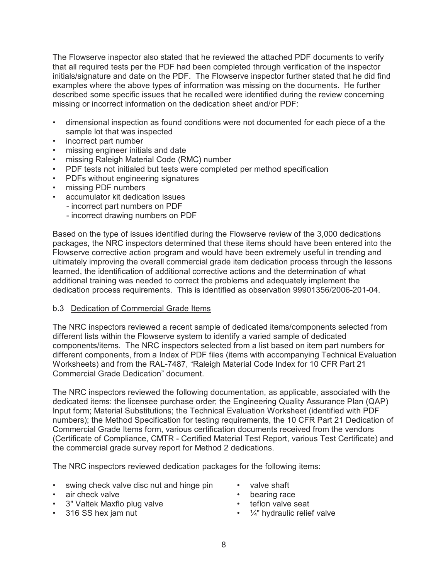The Flowserve inspector also stated that he reviewed the attached PDF documents to verify that all required tests per the PDF had been completed through verification of the inspector initials/signature and date on the PDF. The Flowserve inspector further stated that he did find examples where the above types of information was missing on the documents. He further described some specific issues that he recalled were identified during the review concerning missing or incorrect information on the dedication sheet and/or PDF:

- dimensional inspection as found conditions were not documented for each piece of a the sample lot that was inspected
- incorrect part number
- missing engineer initials and date
- missing Raleigh Material Code (RMC) number
- PDF tests not initialed but tests were completed per method specification
- PDFs without engineering signatures
- missing PDF numbers
- accumulator kit dedication issues
	- incorrect part numbers on PDF
	- incorrect drawing numbers on PDF

Based on the type of issues identified during the Flowserve review of the 3,000 dedications packages, the NRC inspectors determined that these items should have been entered into the Flowserve corrective action program and would have been extremely useful in trending and ultimately improving the overall commercial grade item dedication process through the lessons learned, the identification of additional corrective actions and the determination of what additional training was needed to correct the problems and adequately implement the dedication process requirements. This is identified as observation 99901356/2006-201-04.

#### b.3 Dedication of Commercial Grade Items

The NRC inspectors reviewed a recent sample of dedicated items/components selected from different lists within the Flowserve system to identify a varied sample of dedicated components/items. The NRC inspectors selected from a list based on item part numbers for different components, from a Index of PDF files (items with accompanying Technical Evaluation Worksheets) and from the RAL-7487, "Raleigh Material Code Index for 10 CFR Part 21 Commercial Grade Dedication" document.

The NRC inspectors reviewed the following documentation, as applicable, associated with the dedicated items: the licensee purchase order; the Engineering Quality Assurance Plan (QAP) Input form; Material Substitutions; the Technical Evaluation Worksheet (identified with PDF numbers); the Method Specification for testing requirements, the 10 CFR Part 21 Dedication of Commercial Grade Items form, various certification documents received from the vendors (Certificate of Compliance, CMTR - Certified Material Test Report, various Test Certificate) and the commercial grade survey report for Method 2 dedications.

The NRC inspectors reviewed dedication packages for the following items:

- swing check valve disc nut and hinge pin valve shaft
- air check valve **•** bearing race
- 3" Valtek Maxflo plug valve teflon valve seat
- 
- 
- 
- 
- 316 SS hex jam nut  $\cdot$   $\frac{1}{4}$  hydraulic relief valve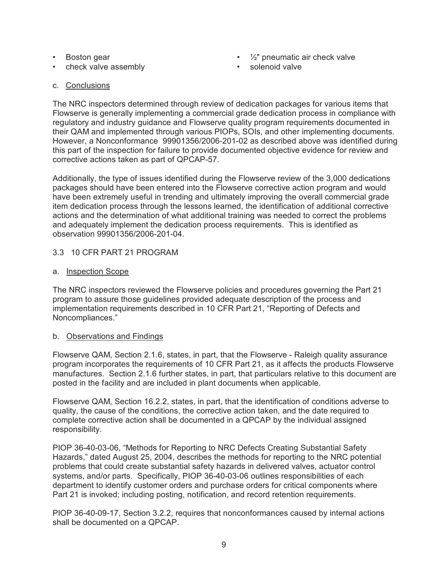- 
- check valve assembly **•** solenoid valve
- Boston gear ½" pneumatic air check valve
	-

c. Conclusions

The NRC inspectors determined through review of dedication packages for various items that Flowserve is generally implementing a commercial grade dedication process in compliance with regulatory and industry guidance and Flowserve quality program requirements documented in their QAM and implemented through various PIOPs, SOIs, and other implementing documents. However, a Nonconformance 99901356/2006-201-02 as described above was identified during this part of the inspection for failure to provide documented objective evidence for review and corrective actions taken as part of QPCAP-57.

Additionally, the type of issues identified during the Flowserve review of the 3,000 dedications packages should have been entered into the Flowserve corrective action program and would have been extremely useful in trending and ultimately improving the overall commercial grade item dedication process through the lessons learned, the identification of additional corrective actions and the determination of what additional training was needed to correct the problems and adequately implement the dedication process requirements. This is identified as observation 99901356/2006-201-04.

# 3.3 10 CFR PART 21 PROGRAM

# a. Inspection Scope

The NRC inspectors reviewed the Flowserve policies and procedures governing the Part 21 program to assure those guidelines provided adequate description of the process and implementation requirements described in 10 CFR Part 21, "Reporting of Defects and Noncompliances."

### b. Observations and Findings

Flowserve QAM, Section 2.1.6, states, in part, that the Flowserve - Raleigh quality assurance program incorporates the requirements of 10 CFR Part 21, as it affects the products Flowserve manufactures. Section 2.1.6 further states, in part, that particulars relative to this document are posted in the facility and are included in plant documents when applicable.

Flowserve QAM, Section 16.2.2, states, in part, that the identification of conditions adverse to quality, the cause of the conditions, the corrective action taken, and the date required to complete corrective action shall be documented in a QPCAP by the individual assigned responsibility.

PIOP 36-40-03-06, "Methods for Reporting to NRC Defects Creating Substantial Safety Hazards," dated August 25, 2004, describes the methods for reporting to the NRC potential problems that could create substantial safety hazards in delivered valves, actuator control systems, and/or parts. Specifically, PIOP 36-40-03-06 outlines responsibilities of each department to identify customer orders and purchase orders for critical components where Part 21 is invoked; including posting, notification, and record retention requirements.

PIOP 36-40-09-17, Section 3.2.2, requires that nonconformances caused by internal actions shall be documented on a QPCAP.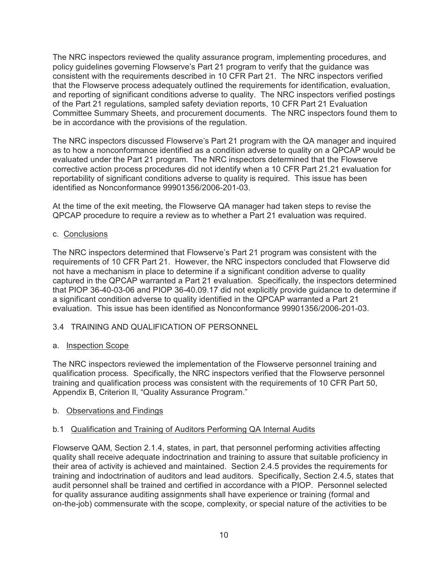The NRC inspectors reviewed the quality assurance program, implementing procedures, and policy guidelines governing Flowserve's Part 21 program to verify that the guidance was consistent with the requirements described in 10 CFR Part 21. The NRC inspectors verified that the Flowserve process adequately outlined the requirements for identification, evaluation, and reporting of significant conditions adverse to quality. The NRC inspectors verified postings of the Part 21 regulations, sampled safety deviation reports, 10 CFR Part 21 Evaluation Committee Summary Sheets, and procurement documents. The NRC inspectors found them to be in accordance with the provisions of the regulation.

The NRC inspectors discussed Flowserve's Part 21 program with the QA manager and inquired as to how a nonconformance identified as a condition adverse to quality on a QPCAP would be evaluated under the Part 21 program. The NRC inspectors determined that the Flowserve corrective action process procedures did not identify when a 10 CFR Part 21.21 evaluation for reportability of significant conditions adverse to quality is required. This issue has been identified as Nonconformance 99901356/2006-201-03.

At the time of the exit meeting, the Flowserve QA manager had taken steps to revise the QPCAP procedure to require a review as to whether a Part 21 evaluation was required.

# c. Conclusions

The NRC inspectors determined that Flowserve's Part 21 program was consistent with the requirements of 10 CFR Part 21. However, the NRC inspectors concluded that Flowserve did not have a mechanism in place to determine if a significant condition adverse to quality captured in the QPCAP warranted a Part 21 evaluation. Specifically, the inspectors determined that PIOP 36-40-03-06 and PIOP 36-40.09.17 did not explicitly provide guidance to determine if a significant condition adverse to quality identified in the QPCAP warranted a Part 21 evaluation. This issue has been identified as Nonconformance 99901356/2006-201-03.

# 3.4 TRAINING AND QUALIFICATION OF PERSONNEL

### a. Inspection Scope

The NRC inspectors reviewed the implementation of the Flowserve personnel training and qualification process. Specifically, the NRC inspectors verified that the Flowserve personnel training and qualification process was consistent with the requirements of 10 CFR Part 50, Appendix B, Criterion II, "Quality Assurance Program."

### b. Observations and Findings

### b.1 Qualification and Training of Auditors Performing QA Internal Audits

Flowserve QAM, Section 2.1.4, states, in part, that personnel performing activities affecting quality shall receive adequate indoctrination and training to assure that suitable proficiency in their area of activity is achieved and maintained. Section 2.4.5 provides the requirements for training and indoctrination of auditors and lead auditors. Specifically, Section 2.4.5, states that audit personnel shall be trained and certified in accordance with a PIOP. Personnel selected for quality assurance auditing assignments shall have experience or training (formal and on-the-job) commensurate with the scope, complexity, or special nature of the activities to be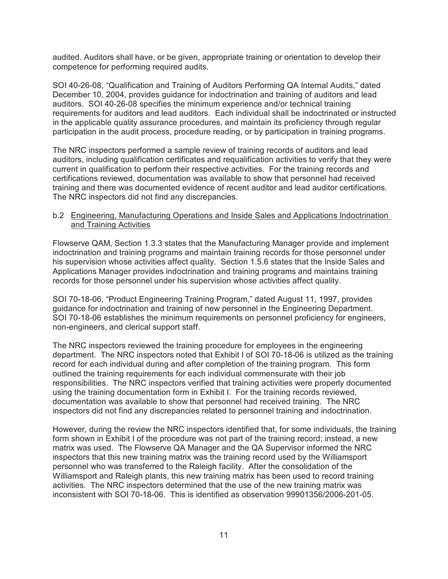audited. Auditors shall have, or be given, appropriate training or orientation to develop their competence for performing required audits.

SOI 40-26-08, "Qualification and Training of Auditors Performing QA Internal Audits," dated December 10, 2004, provides guidance for indoctrination and training of auditors and lead auditors. SOI 40-26-08 specifies the minimum experience and/or technical training requirements for auditors and lead auditors. Each individual shall be indoctrinated or instructed in the applicable quality assurance procedures, and maintain its proficiency through regular participation in the audit process, procedure reading, or by participation in training programs.

The NRC inspectors performed a sample review of training records of auditors and lead auditors, including qualification certificates and requalification activities to verify that they were current in qualification to perform their respective activities. For the training records and certifications reviewed, documentation was available to show that personnel had received training and there was documented evidence of recent auditor and lead auditor certifications. The NRC inspectors did not find any discrepancies.

#### b.2 Engineering, Manufacturing Operations and Inside Sales and Applications Indoctrination and Training Activities

Flowserve QAM, Section 1.3.3 states that the Manufacturing Manager provide and implement indoctrination and training programs and maintain training records for those personnel under his supervision whose activities affect quality. Section 1.5.6 states that the Inside Sales and Applications Manager provides indoctrination and training programs and maintains training records for those personnel under his supervision whose activities affect quality.

SOI 70-18-06, "Product Engineering Training Program," dated August 11, 1997, provides guidance for indoctrination and training of new personnel in the Engineering Department. SOI 70-18-06 establishes the minimum requirements on personnel proficiency for engineers, non-engineers, and clerical support staff.

The NRC inspectors reviewed the training procedure for employees in the engineering department. The NRC inspectors noted that Exhibit I of SOI 70-18-06 is utilized as the training record for each individual during and after completion of the training program. This form outlined the training requirements for each individual commensurate with their job responsibilities. The NRC inspectors verified that training activities were properly documented using the training documentation form in Exhibit I. For the training records reviewed, documentation was available to show that personnel had received training. The NRC inspectors did not find any discrepancies related to personnel training and indoctrination.

However, during the review the NRC inspectors identified that, for some individuals, the training form shown in Exhibit I of the procedure was not part of the training record; instead, a new matrix was used. The Flowserve QA Manager and the QA Supervisor informed the NRC inspectors that this new training matrix was the training record used by the Williamsport personnel who was transferred to the Raleigh facility. After the consolidation of the Williamsport and Raleigh plants, this new training matrix has been used to record training activities. The NRC inspectors determined that the use of the new training matrix was inconsistent with SOI 70-18-06. This is identified as observation 99901356/2006-201-05.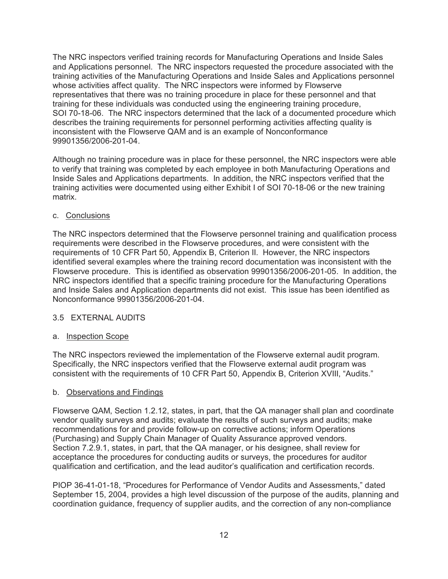The NRC inspectors verified training records for Manufacturing Operations and Inside Sales and Applications personnel. The NRC inspectors requested the procedure associated with the training activities of the Manufacturing Operations and Inside Sales and Applications personnel whose activities affect quality. The NRC inspectors were informed by Flowserve representatives that there was no training procedure in place for these personnel and that training for these individuals was conducted using the engineering training procedure, SOI 70-18-06. The NRC inspectors determined that the lack of a documented procedure which describes the training requirements for personnel performing activities affecting quality is inconsistent with the Flowserve QAM and is an example of Nonconformance 99901356/2006-201-04.

Although no training procedure was in place for these personnel, the NRC inspectors were able to verify that training was completed by each employee in both Manufacturing Operations and Inside Sales and Applications departments. In addition, the NRC inspectors verified that the training activities were documented using either Exhibit I of SOI 70-18-06 or the new training matrix.

### c. Conclusions

The NRC inspectors determined that the Flowserve personnel training and qualification process requirements were described in the Flowserve procedures, and were consistent with the requirements of 10 CFR Part 50, Appendix B, Criterion II. However, the NRC inspectors identified several examples where the training record documentation was inconsistent with the Flowserve procedure. This is identified as observation 99901356/2006-201-05. In addition, the NRC inspectors identified that a specific training procedure for the Manufacturing Operations and Inside Sales and Application departments did not exist. This issue has been identified as Nonconformance 99901356/2006-201-04.

### 3.5 EXTERNAL AUDITS

### a. Inspection Scope

The NRC inspectors reviewed the implementation of the Flowserve external audit program. Specifically, the NRC inspectors verified that the Flowserve external audit program was consistent with the requirements of 10 CFR Part 50, Appendix B, Criterion XVIII, "Audits."

### b. Observations and Findings

Flowserve QAM, Section 1.2.12, states, in part, that the QA manager shall plan and coordinate vendor quality surveys and audits; evaluate the results of such surveys and audits; make recommendations for and provide follow-up on corrective actions; inform Operations (Purchasing) and Supply Chain Manager of Quality Assurance approved vendors. Section 7.2.9.1, states, in part, that the QA manager, or his designee, shall review for acceptance the procedures for conducting audits or surveys, the procedures for auditor qualification and certification, and the lead auditor's qualification and certification records.

PIOP 36-41-01-18, "Procedures for Performance of Vendor Audits and Assessments," dated September 15, 2004, provides a high level discussion of the purpose of the audits, planning and coordination guidance, frequency of supplier audits, and the correction of any non-compliance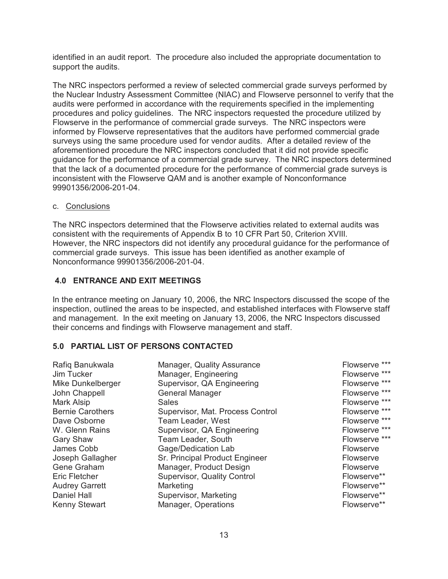identified in an audit report. The procedure also included the appropriate documentation to support the audits.

The NRC inspectors performed a review of selected commercial grade surveys performed by the Nuclear Industry Assessment Committee (NIAC) and Flowserve personnel to verify that the audits were performed in accordance with the requirements specified in the implementing procedures and policy guidelines. The NRC inspectors requested the procedure utilized by Flowserve in the performance of commercial grade surveys. The NRC inspectors were informed by Flowserve representatives that the auditors have performed commercial grade surveys using the same procedure used for vendor audits. After a detailed review of the aforementioned procedure the NRC inspectors concluded that it did not provide specific guidance for the performance of a commercial grade survey. The NRC inspectors determined that the lack of a documented procedure for the performance of commercial grade surveys is inconsistent with the Flowserve QAM and is another example of Nonconformance 99901356/2006-201-04.

#### c. Conclusions

The NRC inspectors determined that the Flowserve activities related to external audits was consistent with the requirements of Appendix B to 10 CFR Part 50, Criterion XVIII. However, the NRC inspectors did not identify any procedural guidance for the performance of commercial grade surveys. This issue has been identified as another example of Nonconformance 99901356/2006-201-04.

#### **4.0 ENTRANCE AND EXIT MEETINGS**

In the entrance meeting on January 10, 2006, the NRC Inspectors discussed the scope of the inspection, outlined the areas to be inspected, and established interfaces with Flowserve staff and management. In the exit meeting on January 13, 2006, the NRC Inspectors discussed their concerns and findings with Flowserve management and staff.

### **5.0 PARTIAL LIST OF PERSONS CONTACTED**

| Rafiq Banukwala         | Manager, Quality Assurance       | Flowserve *** |
|-------------------------|----------------------------------|---------------|
| Jim Tucker              | Manager, Engineering             | Flowserve *** |
| Mike Dunkelberger       | Supervisor, QA Engineering       | Flowserve *** |
| John Chappell           | <b>General Manager</b>           | Flowserve *** |
| Mark Alsip              | <b>Sales</b>                     | Flowserve *** |
| <b>Bernie Carothers</b> | Supervisor, Mat. Process Control | Flowserve *** |
| Dave Osborne            | Team Leader, West                | Flowserve *** |
| W. Glenn Rains          | Supervisor, QA Engineering       | Flowserve *** |
| <b>Gary Shaw</b>        | Team Leader, South               | Flowserve *** |
| James Cobb              | Gage/Dedication Lab              | Flowserve     |
| Joseph Gallagher        | Sr. Principal Product Engineer   | Flowserve     |
| Gene Graham             | Manager, Product Design          | Flowserve     |
| <b>Eric Fletcher</b>    | Supervisor, Quality Control      | Flowserve**   |
| <b>Audrey Garrett</b>   | Marketing                        | Flowserve**   |
| Daniel Hall             | Supervisor, Marketing            | Flowserve**   |
| Kenny Stewart           | Manager, Operations              | Flowserve**   |
|                         |                                  |               |